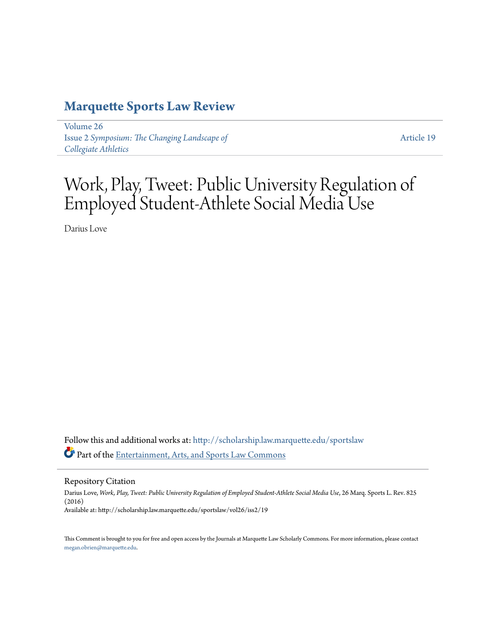# **[Marquette Sports Law Review](http://scholarship.law.marquette.edu/sportslaw?utm_source=scholarship.law.marquette.edu%2Fsportslaw%2Fvol26%2Fiss2%2F19&utm_medium=PDF&utm_campaign=PDFCoverPages)**

[Volume 26](http://scholarship.law.marquette.edu/sportslaw/vol26?utm_source=scholarship.law.marquette.edu%2Fsportslaw%2Fvol26%2Fiss2%2F19&utm_medium=PDF&utm_campaign=PDFCoverPages) Issue 2 *[Symposium: The Changing Landscape of](http://scholarship.law.marquette.edu/sportslaw/vol26/iss2?utm_source=scholarship.law.marquette.edu%2Fsportslaw%2Fvol26%2Fiss2%2F19&utm_medium=PDF&utm_campaign=PDFCoverPages) [Collegiate Athletics](http://scholarship.law.marquette.edu/sportslaw/vol26/iss2?utm_source=scholarship.law.marquette.edu%2Fsportslaw%2Fvol26%2Fiss2%2F19&utm_medium=PDF&utm_campaign=PDFCoverPages)*

[Article 19](http://scholarship.law.marquette.edu/sportslaw/vol26/iss2/19?utm_source=scholarship.law.marquette.edu%2Fsportslaw%2Fvol26%2Fiss2%2F19&utm_medium=PDF&utm_campaign=PDFCoverPages)

Work, Play, Tweet: Public University Regulation of Employed Student-Athlete Social Media Use

Darius Love

Follow this and additional works at: [http://scholarship.law.marquette.edu/sportslaw](http://scholarship.law.marquette.edu/sportslaw?utm_source=scholarship.law.marquette.edu%2Fsportslaw%2Fvol26%2Fiss2%2F19&utm_medium=PDF&utm_campaign=PDFCoverPages) Part of the [Entertainment, Arts, and Sports Law Commons](http://network.bepress.com/hgg/discipline/893?utm_source=scholarship.law.marquette.edu%2Fsportslaw%2Fvol26%2Fiss2%2F19&utm_medium=PDF&utm_campaign=PDFCoverPages)

Repository Citation

Darius Love, Work, Play, Tweet: Public University Regulation of Employed Student-Athlete Social Media Use, 26 Marq. Sports L. Rev. 825 (2016) Available at: http://scholarship.law.marquette.edu/sportslaw/vol26/iss2/19

This Comment is brought to you for free and open access by the Journals at Marquette Law Scholarly Commons. For more information, please contact [megan.obrien@marquette.edu.](mailto:megan.obrien@marquette.edu)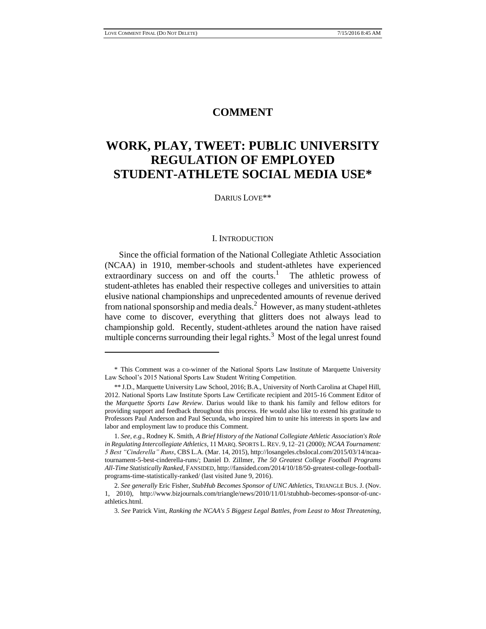## **COMMENT**

## **WORK, PLAY, TWEET: PUBLIC UNIVERSITY REGULATION OF EMPLOYED STUDENT-ATHLETE SOCIAL MEDIA USE\***

#### DARIUS LOVE\*\*

#### I. INTRODUCTION

Since the official formation of the National Collegiate Athletic Association (NCAA) in 1910, member-schools and student-athletes have experienced extraordinary success on and off the courts.<sup>1</sup> The athletic prowess of student-athletes has enabled their respective colleges and universities to attain elusive national championships and unprecedented amounts of revenue derived from national sponsorship and media deals.<sup>2</sup> However, as many student-athletes have come to discover, everything that glitters does not always lead to championship gold. Recently, student-athletes around the nation have raised multiple concerns surrounding their legal rights.<sup>3</sup> Most of the legal unrest found

<sup>\*</sup> This Comment was a co-winner of the National Sports Law Institute of Marquette University Law School's 2015 National Sports Law Student Writing Competition.

<sup>\*\*</sup> J.D., Marquette University Law School, 2016; B.A., University of North Carolina at Chapel Hill, 2012. National Sports Law Institute Sports Law Certificate recipient and 2015-16 Comment Editor of the *Marquette Sports Law Review*. Darius would like to thank his family and fellow editors for providing support and feedback throughout this process. He would also like to extend his gratitude to Professors Paul Anderson and Paul Secunda, who inspired him to unite his interests in sports law and labor and employment law to produce this Comment.

<sup>1.</sup> *See, e.g.*, Rodney K. Smith, *A Brief History of the National Collegiate Athletic Association's Role in Regulating Intercollegiate Athletics*, 11 MARQ. SPORTS L. REV. 9, 12–21 (2000); *NCAA Tournament: 5 Best "Cinderella" Runs*, CBS L.A. (Mar. 14, 2015), http://losangeles.cbslocal.com/2015/03/14/ncaatournament-5-best-cinderella-runs/; Daniel D. Zillmer, *The 50 Greatest College Football Programs All-Time Statistically Ranked*, FANSIDED, http://fansided.com/2014/10/18/50-greatest-college-footballprograms-time-statistically-ranked/ (last visited June 9, 2016).

<sup>2.</sup> *See generally* Eric Fisher, *StubHub Becomes Sponsor of UNC Athletics*, TRIANGLE BUS. J. (Nov. 1, 2010), http://www.bizjournals.com/triangle/news/2010/11/01/stubhub-becomes-sponsor-of-uncathletics.html.

<sup>3.</sup> *See* Patrick Vint, *Ranking the NCAA's 5 Biggest Legal Battles, from Least to Most Threatening*,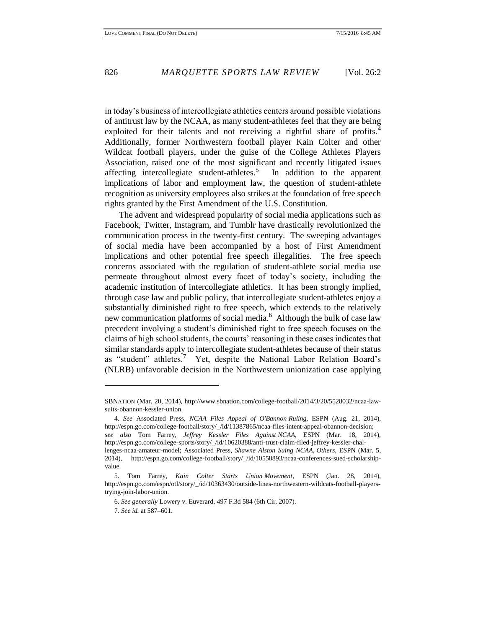in today's business of intercollegiate athletics centers around possible violations of antitrust law by the NCAA, as many student-athletes feel that they are being exploited for their talents and not receiving a rightful share of profits. $4$ Additionally, former Northwestern football player Kain Colter and other Wildcat football players, under the guise of the College Athletes Players Association, raised one of the most significant and recently litigated issues affecting intercollegiate student-athletes.<sup>5</sup> In addition to the apparent implications of labor and employment law, the question of student-athlete recognition as university employees also strikes at the foundation of free speech rights granted by the First Amendment of the U.S. Constitution.

The advent and widespread popularity of social media applications such as Facebook, Twitter, Instagram, and Tumblr have drastically revolutionized the communication process in the twenty-first century. The sweeping advantages of social media have been accompanied by a host of First Amendment implications and other potential free speech illegalities. The free speech concerns associated with the regulation of student-athlete social media use permeate throughout almost every facet of today's society, including the academic institution of intercollegiate athletics. It has been strongly implied, through case law and public policy, that intercollegiate student-athletes enjoy a substantially diminished right to free speech, which extends to the relatively new communication platforms of social media.<sup>6</sup> Although the bulk of case law precedent involving a student's diminished right to free speech focuses on the claims of high school students, the courts' reasoning in these cases indicates that similar standards apply to intercollegiate student-athletes because of their status as "student" athletes.<sup>7</sup> Yet, despite the National Labor Relation Board's (NLRB) unfavorable decision in the Northwestern unionization case applying

SBNATION (Mar. 20, 2014), http://www.sbnation.com/college-football/2014/3/20/5528032/ncaa-lawsuits-obannon-kessler-union.

<sup>4.</sup> *See* Associated Press, *NCAA Files Appeal of O'Bannon Ruling*, ESPN (Aug. 21, 2014), http://espn.go.com/college-football/story/\_/id/11387865/ncaa-files-intent-appeal-obannon-decision; *see also* Tom Farrey, *Jeffrey Kessler Files Against NCAA*, ESPN (Mar. 18, 2014), http://espn.go.com/college-sports/story/\_/id/10620388/anti-trust-claim-filed-jeffrey-kessler-challenges-ncaa-amateur-model; Associated Press, *Shawne Alston Suing NCAA, Others*, ESPN (Mar. 5, 2014), http://espn.go.com/college-football/story/\_/id/10558893/ncaa-conferences-sued-scholarshipvalue.

<sup>5.</sup> Tom Farrey, *Kain Colter Starts Union Movement*, ESPN (Jan. 28, 2014), http://espn.go.com/espn/otl/story/\_/id/10363430/outside-lines-northwestern-wildcats-football-playerstrying-join-labor-union.

<sup>6.</sup> *See generally* Lowery v. Euverard, 497 F.3d 584 (6th Cir. 2007).

<sup>7.</sup> *See id.* at 587–601.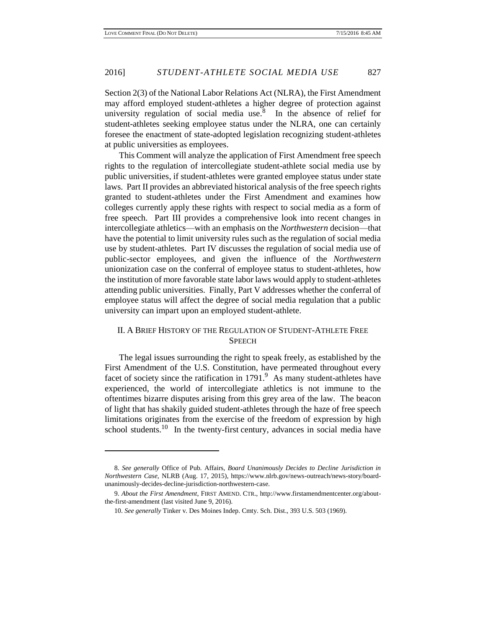Section 2(3) of the National Labor Relations Act (NLRA), the First Amendment may afford employed student-athletes a higher degree of protection against university regulation of social media use.<sup>8</sup> In the absence of relief for student-athletes seeking employee status under the NLRA, one can certainly foresee the enactment of state-adopted legislation recognizing student-athletes at public universities as employees.

This Comment will analyze the application of First Amendment free speech rights to the regulation of intercollegiate student-athlete social media use by public universities, if student-athletes were granted employee status under state laws. Part II provides an abbreviated historical analysis of the free speech rights granted to student-athletes under the First Amendment and examines how colleges currently apply these rights with respect to social media as a form of free speech. Part III provides a comprehensive look into recent changes in intercollegiate athletics—with an emphasis on the *Northwestern* decision—that have the potential to limit university rules such as the regulation of social media use by student-athletes. Part IV discusses the regulation of social media use of public-sector employees, and given the influence of the *Northwestern* unionization case on the conferral of employee status to student-athletes, how the institution of more favorable state labor laws would apply to student-athletes attending public universities. Finally, Part V addresses whether the conferral of employee status will affect the degree of social media regulation that a public university can impart upon an employed student-athlete.

## II. A BRIEF HISTORY OF THE REGULATION OF STUDENT-ATHLETE FREE **SPEECH**

The legal issues surrounding the right to speak freely, as established by the First Amendment of the U.S. Constitution, have permeated throughout every facet of society since the ratification in  $1791<sup>9</sup>$  As many student-athletes have experienced, the world of intercollegiate athletics is not immune to the oftentimes bizarre disputes arising from this grey area of the law. The beacon of light that has shakily guided student-athletes through the haze of free speech limitations originates from the exercise of the freedom of expression by high school students.<sup>10</sup> In the twenty-first century, advances in social media have

<sup>8.</sup> *See generally* Office of Pub. Affairs, *Board Unanimously Decides to Decline Jurisdiction in Northwestern Case*, NLRB (Aug. 17, 2015), https://www.nlrb.gov/news-outreach/news-story/boardunanimously-decides-decline-jurisdiction-northwestern-case.

<sup>9.</sup> *About the First Amendment*, FIRST AMEND. CTR., http://www.firstamendmentcenter.org/aboutthe-first-amendment (last visited June 9, 2016).

<sup>10.</sup> *See generally* Tinker v. Des Moines Indep. Cmty. Sch. Dist., 393 U.S. 503 (1969).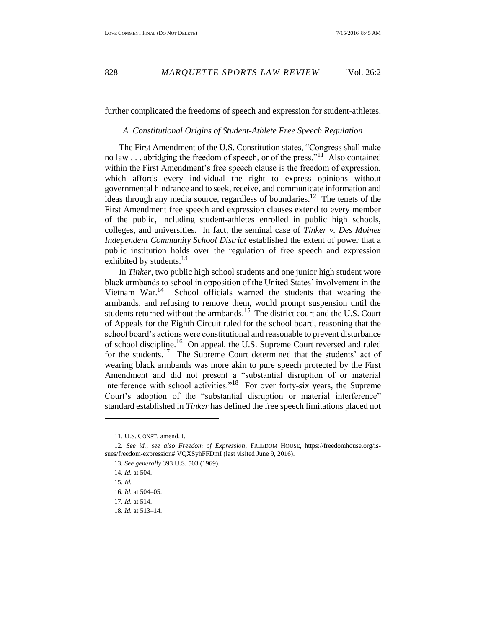further complicated the freedoms of speech and expression for student-athletes.

#### *A. Constitutional Origins of Student-Athlete Free Speech Regulation*

The First Amendment of the U.S. Constitution states, "Congress shall make no law  $\dots$  abridging the freedom of speech, or of the press."<sup>11</sup> Also contained within the First Amendment's free speech clause is the freedom of expression, which affords every individual the right to express opinions without governmental hindrance and to seek, receive, and communicate information and ideas through any media source, regardless of boundaries.<sup>12</sup> The tenets of the First Amendment free speech and expression clauses extend to every member of the public, including student-athletes enrolled in public high schools, colleges, and universities. In fact, the seminal case of *Tinker v. Des Moines Independent Community School District* established the extent of power that a public institution holds over the regulation of free speech and expression exhibited by students.<sup>13</sup>

In *Tinker*, two public high school students and one junior high student wore black armbands to school in opposition of the United States' involvement in the Vietnam War.<sup>14</sup> School officials warned the students that wearing the armbands, and refusing to remove them, would prompt suspension until the students returned without the armbands.<sup>15</sup> The district court and the U.S. Court of Appeals for the Eighth Circuit ruled for the school board, reasoning that the school board's actions were constitutional and reasonable to prevent disturbance of school discipline.<sup>16</sup> On appeal, the U.S. Supreme Court reversed and ruled for the students.<sup>17</sup> The Supreme Court determined that the students' act of wearing black armbands was more akin to pure speech protected by the First Amendment and did not present a "substantial disruption of or material interference with school activities."<sup>18</sup> For over forty-six years, the Supreme Court's adoption of the "substantial disruption or material interference" standard established in *Tinker* has defined the free speech limitations placed not

<sup>11.</sup> U.S. CONST. amend. I.

<sup>12.</sup> *See id.*; *see also Freedom of Expression*, FREEDOM HOUSE, https://freedomhouse.org/issues/freedom-expression#.VQXSyhFFDmI (last visited June 9, 2016).

<sup>13.</sup> *See generally* 393 U.S. 503 (1969).

<sup>14.</sup> *Id.* at 504.

<sup>15.</sup> *Id.* 

<sup>16.</sup> *Id.* at 504–05.

<sup>17.</sup> *Id.* at 514.

<sup>18.</sup> *Id.* at 513–14.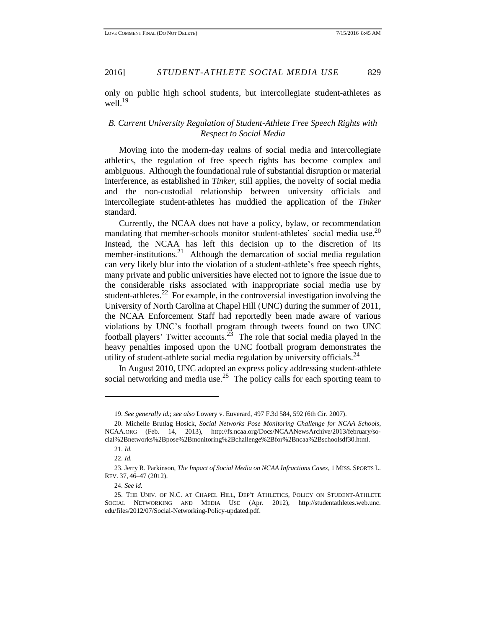only on public high school students, but intercollegiate student-athletes as well. $^{19}$ 

## *B. Current University Regulation of Student-Athlete Free Speech Rights with Respect to Social Media*

Moving into the modern-day realms of social media and intercollegiate athletics, the regulation of free speech rights has become complex and ambiguous. Although the foundational rule of substantial disruption or material interference, as established in *Tinker*, still applies, the novelty of social media and the non-custodial relationship between university officials and intercollegiate student-athletes has muddied the application of the *Tinker*  standard.

Currently, the NCAA does not have a policy, bylaw, or recommendation mandating that member-schools monitor student-athletes' social media use.<sup>20</sup> Instead, the NCAA has left this decision up to the discretion of its member-institutions.<sup>21</sup> Although the demarcation of social media regulation can very likely blur into the violation of a student-athlete's free speech rights, many private and public universities have elected not to ignore the issue due to the considerable risks associated with inappropriate social media use by student-athletes.<sup>22</sup> For example, in the controversial investigation involving the University of North Carolina at Chapel Hill (UNC) during the summer of 2011, the NCAA Enforcement Staff had reportedly been made aware of various violations by UNC's football program through tweets found on two UNC football players' Twitter accounts.<sup>23</sup> The role that social media played in the heavy penalties imposed upon the UNC football program demonstrates the utility of student-athlete social media regulation by university officials.<sup>24</sup>

In August 2010, UNC adopted an express policy addressing student-athlete social networking and media use.<sup>25</sup> The policy calls for each sporting team to

 $\overline{\phantom{a}}$ 

<sup>19.</sup> *See generally id.*; *see also* Lowery v. Euverard, 497 F.3d 584, 592 (6th Cir. 2007).

<sup>20.</sup> Michelle Brutlag Hosick, *Social Networks Pose Monitoring Challenge for NCAA Schools*, NCAA.ORG (Feb. 14, 2013), http://fs.ncaa.org/Docs/NCAANewsArchive/2013/february/social%2Bnetworks%2Bpose%2Bmonitoring%2Bchallenge%2Bfor%2Bncaa%2Bschoolsdf30.html.

<sup>21.</sup> *Id.* 

<sup>22.</sup> *Id.* 

<sup>23.</sup> Jerry R. Parkinson, *The Impact of Social Media on NCAA Infractions Cases*, 1 MISS. SPORTS L. REV. 37, 46–47 (2012).

<sup>24.</sup> *See id.* 

<sup>25.</sup> THE UNIV. OF N.C. AT CHAPEL HILL, DEP'T ATHLETICS, POLICY ON STUDENT-ATHLETE SOCIAL NETWORKING AND MEDIA USE (Apr. 2012), http://studentathletes.web.unc. edu/files/2012/07/Social-Networking-Policy-updated.pdf.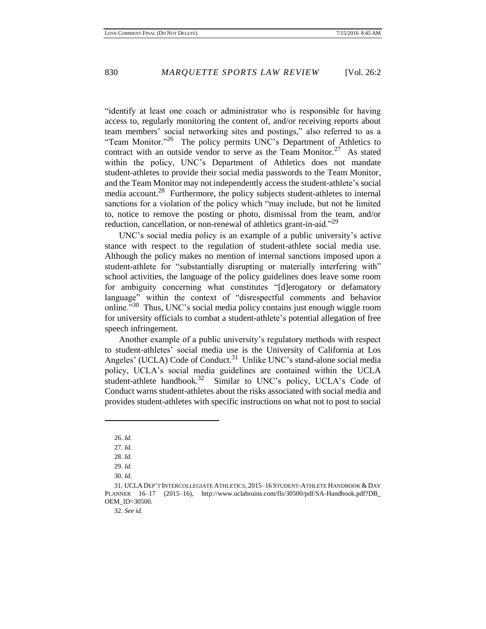"identify at least one coach or administrator who is responsible for having access to, regularly monitoring the content of, and/or receiving reports about team members' social networking sites and postings," also referred to as a "Team Monitor."<sup>26</sup> The policy permits UNC's Department of Athletics to contract with an outside vendor to serve as the Team Monitor.<sup>27</sup> As stated within the policy, UNC's Department of Athletics does not mandate student-athletes to provide their social media passwords to the Team Monitor, and the Team Monitor may not independently access the student-athlete's social media account.<sup>28</sup> Furthermore, the policy subjects student-athletes to internal sanctions for a violation of the policy which "may include, but not be limited to, notice to remove the posting or photo, dismissal from the team, and/or reduction, cancellation, or non-renewal of athletics grant-in-aid."<sup>29</sup>

UNC's social media policy is an example of a public university's active stance with respect to the regulation of student-athlete social media use. Although the policy makes no mention of internal sanctions imposed upon a student-athlete for "substantially disrupting or materially interfering with" school activities, the language of the policy guidelines does leave some room for ambiguity concerning what constitutes "[d]erogatory or defamatory language" within the context of "disrespectful comments and behavior online.<sup>"30</sup> Thus, UNC's social media policy contains just enough wiggle room for university officials to combat a student-athlete's potential allegation of free speech infringement.

Another example of a public university's regulatory methods with respect to student-athletes' social media use is the University of California at Los Angeles' (UCLA) Code of Conduct.<sup>31</sup> Unlike UNC's stand-alone social media policy, UCLA's social media guidelines are contained within the UCLA student-athlete handbook.<sup>32</sup> Similar to UNC's policy, UCLA's Code of Conduct warns student-athletes about the risks associated with social media and provides student-athletes with specific instructions on what not to post to social

 $\overline{\phantom{a}}$ 

32. *See id.* 

<sup>26.</sup> *Id.*

<sup>27.</sup> *Id.*

<sup>28.</sup> *Id.* 

<sup>29.</sup> *Id.*

<sup>30.</sup> *Id.*

<sup>31.</sup> UCLA DEP'T INTERCOLLEGIATE ATHLETICS, 2015–16 STUDENT-ATHLETE HANDBOOK & DAY PLANNER 16–17 (2015–16), http://www.uclabruins.com/fls/30500/pdf/SA-Handbook.pdf?DB\_ OEM\_ID=30500.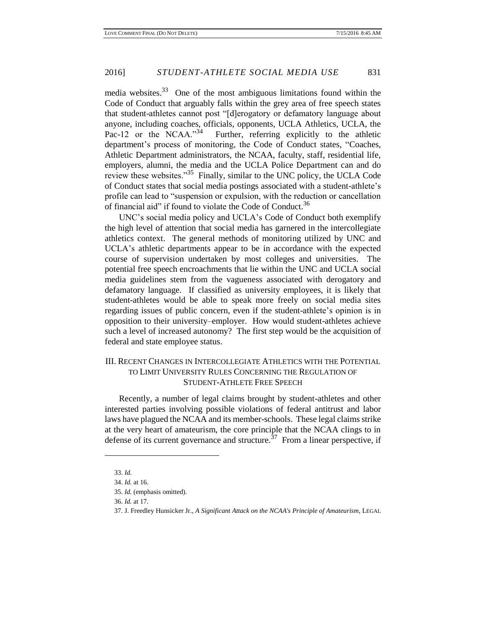media websites. $33$  One of the most ambiguous limitations found within the Code of Conduct that arguably falls within the grey area of free speech states that student-athletes cannot post "[d]erogatory or defamatory language about anyone, including coaches, officials, opponents, UCLA Athletics, UCLA, the Pac-12 or the NCAA."34 Further, referring explicitly to the athletic department's process of monitoring, the Code of Conduct states, "Coaches, Athletic Department administrators, the NCAA, faculty, staff, residential life, employers, alumni, the media and the UCLA Police Department can and do review these websites."<sup>35</sup> Finally, similar to the UNC policy, the UCLA Code of Conduct states that social media postings associated with a student-athlete's profile can lead to "suspension or expulsion, with the reduction or cancellation of financial aid" if found to violate the Code of Conduct.<sup>36</sup>

UNC's social media policy and UCLA's Code of Conduct both exemplify the high level of attention that social media has garnered in the intercollegiate athletics context. The general methods of monitoring utilized by UNC and UCLA's athletic departments appear to be in accordance with the expected course of supervision undertaken by most colleges and universities. The potential free speech encroachments that lie within the UNC and UCLA social media guidelines stem from the vagueness associated with derogatory and defamatory language. If classified as university employees, it is likely that student-athletes would be able to speak more freely on social media sites regarding issues of public concern, even if the student-athlete's opinion is in opposition to their university–employer. How would student-athletes achieve such a level of increased autonomy? The first step would be the acquisition of federal and state employee status.

## III. RECENT CHANGES IN INTERCOLLEGIATE ATHLETICS WITH THE POTENTIAL TO LIMIT UNIVERSITY RULES CONCERNING THE REGULATION OF STUDENT-ATHLETE FREE SPEECH

Recently, a number of legal claims brought by student-athletes and other interested parties involving possible violations of federal antitrust and labor laws have plagued the NCAA and its member-schools. These legal claims strike at the very heart of amateurism, the core principle that the NCAA clings to in defense of its current governance and structure.<sup>37</sup> From a linear perspective, if

<sup>33.</sup> *Id.*

<sup>34.</sup> *Id.* at 16.

<sup>35.</sup> *Id.* (emphasis omitted).

<sup>36.</sup> *Id.* at 17.

<sup>37.</sup> J. Freedley Hunsicker Jr., *A Significant Attack on the NCAA's Principle of Amateurism*, LEGAL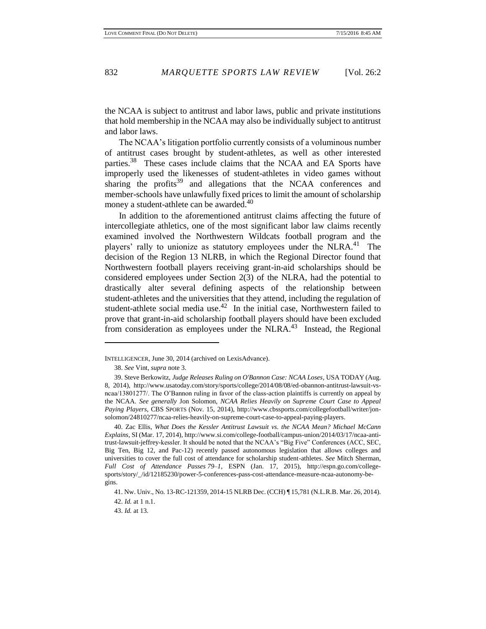the NCAA is subject to antitrust and labor laws, public and private institutions that hold membership in the NCAA may also be individually subject to antitrust and labor laws.

The NCAA's litigation portfolio currently consists of a voluminous number of antitrust cases brought by student-athletes, as well as other interested parties.<sup>38</sup> These cases include claims that the NCAA and EA Sports have improperly used the likenesses of student-athletes in video games without sharing the profits $39$  and allegations that the NCAA conferences and member-schools have unlawfully fixed prices to limit the amount of scholarship money a student-athlete can be awarded.<sup>40</sup>

In addition to the aforementioned antitrust claims affecting the future of intercollegiate athletics, one of the most significant labor law claims recently examined involved the Northwestern Wildcats football program and the players' rally to unionize as statutory employees under the NLRA.<sup>41</sup> The decision of the Region 13 NLRB, in which the Regional Director found that Northwestern football players receiving grant-in-aid scholarships should be considered employees under Section 2(3) of the NLRA, had the potential to drastically alter several defining aspects of the relationship between student-athletes and the universities that they attend, including the regulation of student-athlete social media use.<sup>42</sup> In the initial case, Northwestern failed to prove that grant-in-aid scholarship football players should have been excluded from consideration as employees under the NLRA.<sup>43</sup> Instead, the Regional

l

43. *Id.* at 13.

INTELLIGENCER, June 30, 2014 (archived on LexisAdvance).

<sup>38.</sup> *See* Vint, *supra* note 3.

<sup>39.</sup> Steve Berkowitz, *Judge Releases Ruling on O'Bannon Case: NCAA Loses*, USA TODAY (Aug. 8, 2014), http://www.usatoday.com/story/sports/college/2014/08/08/ed-obannon-antitrust-lawsuit-vsncaa/13801277/. The O'Bannon ruling in favor of the class-action plaintiffs is currently on appeal by the NCAA. *See generally* Jon Solomon, *NCAA Relies Heavily on Supreme Court Case to Appeal Paying Players*, CBS SPORTS (Nov. 15, 2014), http://www.cbssports.com/collegefootball/writer/jonsolomon/24810277/ncaa-relies-heavily-on-supreme-court-case-to-appeal-paying-players.

<sup>40.</sup> Zac Ellis, *What Does the Kessler Antitrust Lawsuit vs. the NCAA Mean? Michael McCann Explains*, SI (Mar. 17, 2014), http://www.si.com/college-football/campus-union/2014/03/17/ncaa-antitrust-lawsuit-jeffrey-kessler. It should be noted that the NCAA's "Big Five" Conferences (ACC, SEC, Big Ten, Big 12, and Pac-12) recently passed autonomous legislation that allows colleges and universities to cover the full cost of attendance for scholarship student-athletes. *See* Mitch Sherman, *Full Cost of Attendance Passes 79–1*, ESPN (Jan. 17, 2015), http://espn.go.com/collegesports/story/\_/id/12185230/power-5-conferences-pass-cost-attendance-measure-ncaa-autonomy-begins.

<sup>41.</sup> Nw. Univ., No. 13-RC-121359, 2014-15 NLRB Dec. (CCH) ¶ 15,781 (N.L.R.B. Mar. 26, 2014). 42. *Id.* at 1 n.1.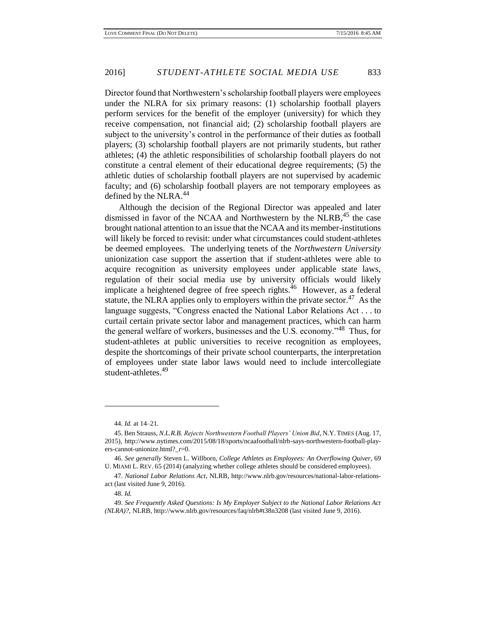Director found that Northwestern's scholarship football players were employees under the NLRA for six primary reasons: (1) scholarship football players perform services for the benefit of the employer (university) for which they receive compensation, not financial aid; (2) scholarship football players are subject to the university's control in the performance of their duties as football players; (3) scholarship football players are not primarily students, but rather athletes; (4) the athletic responsibilities of scholarship football players do not constitute a central element of their educational degree requirements; (5) the athletic duties of scholarship football players are not supervised by academic faculty; and (6) scholarship football players are not temporary employees as defined by the NLRA.<sup>44</sup>

Although the decision of the Regional Director was appealed and later dismissed in favor of the NCAA and Northwestern by the NLRB,<sup>45</sup> the case brought national attention to an issue that the NCAA and its member-institutions will likely be forced to revisit: under what circumstances could student-athletes be deemed employees. The underlying tenets of the *Northwestern University* unionization case support the assertion that if student-athletes were able to acquire recognition as university employees under applicable state laws, regulation of their social media use by university officials would likely implicate a heightened degree of free speech rights.<sup>46</sup> However, as a federal statute, the NLRA applies only to employers within the private sector.<sup>47</sup> As the language suggests, "Congress enacted the National Labor Relations Act . . . to curtail certain private sector labor and management practices, which can harm the general welfare of workers, businesses and the U.S. economy."<sup>48</sup> Thus, for student-athletes at public universities to receive recognition as employees, despite the shortcomings of their private school counterparts, the interpretation of employees under state labor laws would need to include intercollegiate student-athletes. 49

 $\overline{\phantom{a}}$ 

<sup>44.</sup> *Id.* at 14–21.

<sup>45.</sup> Ben Strauss, *N.L.R.B. Rejects Northwestern Football Players' Union Bid*, N.Y. TIMES (Aug. 17, 2015), http://www.nytimes.com/2015/08/18/sports/ncaafootball/nlrb-says-northwestern-football-players-cannot-unionize.html?\_r=0.

<sup>46.</sup> *See generally* Steven L. Willborn, *College Athletes as Employees: An Overflowing Quiver*, 69 U. MIAMI L. REV. 65 (2014) (analyzing whether college athletes should be considered employees).

<sup>47.</sup> *National Labor Relations Act*, NLRB, http://www.nlrb.gov/resources/national-labor-relationsact (last visited June 9, 2016).

<sup>48.</sup> *Id.* 

<sup>49.</sup> *See Frequently Asked Questions: Is My Employer Subject to the National Labor Relations Act (NLRA)?*, NLRB, http://www.nlrb.gov/resources/faq/nlrb#t38n3208 (last visited June 9, 2016).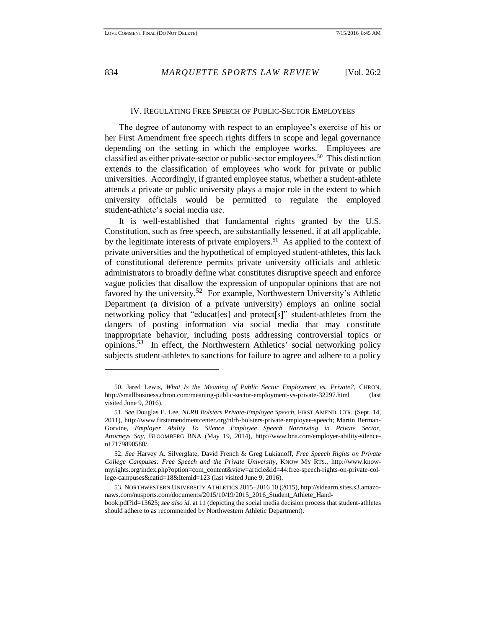#### IV. REGULATING FREE SPEECH OF PUBLIC-SECTOR EMPLOYEES

The degree of autonomy with respect to an employee's exercise of his or her First Amendment free speech rights differs in scope and legal governance depending on the setting in which the employee works. Employees are classified as either private-sector or public-sector employees.<sup>50</sup> This distinction extends to the classification of employees who work for private or public universities. Accordingly, if granted employee status, whether a student-athlete attends a private or public university plays a major role in the extent to which university officials would be permitted to regulate the employed student-athlete's social media use.

It is well-established that fundamental rights granted by the U.S. Constitution, such as free speech, are substantially lessened, if at all applicable, by the legitimate interests of private employers.<sup>51</sup> As applied to the context of private universities and the hypothetical of employed student-athletes, this lack of constitutional deference permits private university officials and athletic administrators to broadly define what constitutes disruptive speech and enforce vague policies that disallow the expression of unpopular opinions that are not favored by the university.<sup>52</sup> For example, Northwestern University's Athletic Department (a division of a private university) employs an online social networking policy that "educat[es] and protect[s]" student-athletes from the dangers of posting information via social media that may constitute inappropriate behavior, including posts addressing controversial topics or opinions. 53 In effect, the Northwestern Athletics' social networking policy subjects student-athletes to sanctions for failure to agree and adhere to a policy

<sup>50.</sup> Jared Lewis, *What Is the Meaning of Public Sector Employment vs. Private?*, CHRON, http://smallbusiness.chron.com/meaning-public-sector-employment-vs-private-32297.html (last visited June 9, 2016).

<sup>51.</sup> *See* Douglas E. Lee, *NLRB Bolsters Private-Employee Speech*, FIRST AMEND. CTR. (Sept. 14, 2011), http://www.firstamendmentcenter.org/nlrb-bolsters-private-employee-speech; Martin Berman-Gorvine, *Employer Ability To Silence Employee Speech Narrowing in Private Sector, Attorneys Say*, BLOOMBERG BNA (May 19, 2014), http://www.bna.com/employer-ability-silencen17179890580/.

<sup>52.</sup> *See* Harvey A. Silverglate, David French & Greg Lukianoff, *Free Speech Rights on Private College Campuses: Free Speech and the Private University*, KNOW MY RTS., http://www.knowmyrights.org/index.php?option=com\_content&view=article&id=44:free-speech-rights-on-private-college-campuses&catid=18&Itemid=123 (last visited June 9, 2016).

<sup>53.</sup> NORTHWESTERN UNIVERSITY ATHLETICS 2015–2016 10 (2015), http://sidearm.sites.s3.amazonaws.com/nusports.com/documents/2015/10/19/2015\_2016\_Student\_Athlete\_Handbook.pdf?id=13625; *see also id.* at 11 (depicting the social media decision process that student-athletes should adhere to as recommended by Northwestern Athletic Department).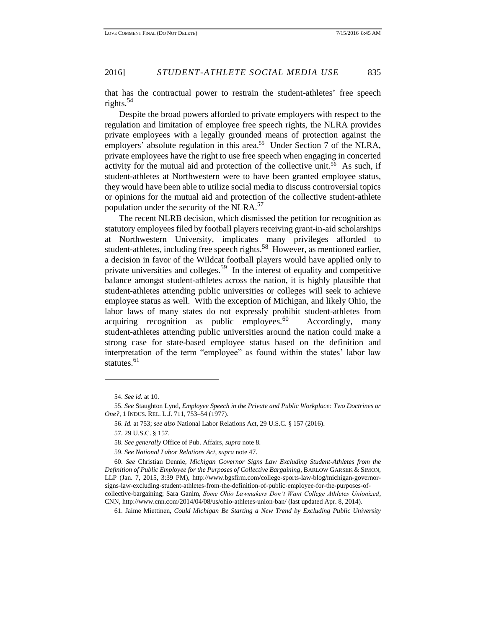that has the contractual power to restrain the student-athletes' free speech rights.<sup>54</sup>

Despite the broad powers afforded to private employers with respect to the regulation and limitation of employee free speech rights, the NLRA provides private employees with a legally grounded means of protection against the employers' absolute regulation in this area.<sup>55</sup> Under Section 7 of the NLRA, private employees have the right to use free speech when engaging in concerted activity for the mutual aid and protection of the collective unit.<sup>56</sup> As such, if student-athletes at Northwestern were to have been granted employee status, they would have been able to utilize social media to discuss controversial topics or opinions for the mutual aid and protection of the collective student-athlete population under the security of the NLRA. $57$ 

The recent NLRB decision, which dismissed the petition for recognition as statutory employees filed by football players receiving grant-in-aid scholarships at Northwestern University, implicates many privileges afforded to student-athletes, including free speech rights.<sup>58</sup> However, as mentioned earlier, a decision in favor of the Wildcat football players would have applied only to private universities and colleges.<sup>59</sup> In the interest of equality and competitive balance amongst student-athletes across the nation, it is highly plausible that student-athletes attending public universities or colleges will seek to achieve employee status as well. With the exception of Michigan, and likely Ohio, the labor laws of many states do not expressly prohibit student-athletes from acquiring recognition as public employees. $60$  Accordingly, many student-athletes attending public universities around the nation could make a strong case for state-based employee status based on the definition and interpretation of the term "employee" as found within the states' labor law statutes.<sup>61</sup>

<sup>54.</sup> *See id.* at 10.

<sup>55.</sup> *See* Staughton Lynd, *Employee Speech in the Private and Public Workplace: Two Doctrines or One?*, 1 INDUS. REL. L.J. 711, 753–54 (1977).

<sup>56.</sup> *Id.* at 753; *see also* National Labor Relations Act, 29 U.S.C. § 157 (2016).

<sup>57.</sup> 29 U.S.C. § 157.

<sup>58.</sup> *See generally* Office of Pub. Affairs, *supra* note 8.

<sup>59.</sup> *See National Labor Relations Act*, *supra* note 47.

<sup>60.</sup> *See* Christian Dennie, *Michigan Governor Signs Law Excluding Student-Athletes from the Definition of Public Employee for the Purposes of Collective Bargaining*, BARLOW GARSEK & SIMON, LLP (Jan. 7, 2015, 3:39 PM), http://www.bgsfirm.com/college-sports-law-blog/michigan-governorsigns-law-excluding-student-athletes-from-the-definition-of-public-employee-for-the-purposes-ofcollective-bargaining; Sara Ganim, *Some Ohio Lawmakers Don't Want College Athletes Unionized*, CNN, http://www.cnn.com/2014/04/08/us/ohio-athletes-union-ban/ (last updated Apr. 8, 2014).

<sup>61.</sup> Jaime Miettinen, *Could Michigan Be Starting a New Trend by Excluding Public University*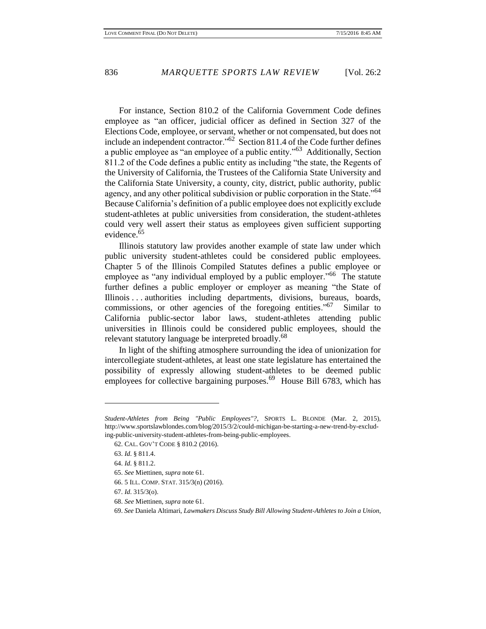For instance, Section 810.2 of the California Government Code defines employee as "an officer, judicial officer as defined in Section 327 of the Elections Code, employee, or servant, whether or not compensated, but does not include an independent contractor." $62$  Section 811.4 of the Code further defines a public employee as "an employee of a public entity."<sup>63</sup> Additionally, Section 811.2 of the Code defines a public entity as including "the state, the Regents of the University of California, the Trustees of the California State University and the California State University, a county, city, district, public authority, public agency, and any other political subdivision or public corporation in the State."<sup>64</sup> Because California's definition of a public employee does not explicitly exclude student-athletes at public universities from consideration, the student-athletes could very well assert their status as employees given sufficient supporting evidence.<sup>65</sup>

Illinois statutory law provides another example of state law under which public university student-athletes could be considered public employees. Chapter 5 of the Illinois Compiled Statutes defines a public employee or employee as "any individual employed by a public employer."<sup>66</sup> The statute further defines a public employer or employer as meaning "the State of Illinois . . . authorities including departments, divisions, bureaus, boards, commissions, or other agencies of the foregoing entities."<sup>67</sup> Similar to California public-sector labor laws, student-athletes attending public universities in Illinois could be considered public employees, should the relevant statutory language be interpreted broadly.<sup>68</sup>

In light of the shifting atmosphere surrounding the idea of unionization for intercollegiate student-athletes, at least one state legislature has entertained the possibility of expressly allowing student-athletes to be deemed public employees for collective bargaining purposes.<sup>69</sup> House Bill 6783, which has

*Student-Athletes from Being "Public Employees"?*, SPORTS L. BLONDE (Mar. 2, 2015), http://www.sportslawblondes.com/blog/2015/3/2/could-michigan-be-starting-a-new-trend-by-excluding-public-university-student-athletes-from-being-public-employees.

<sup>62.</sup> CAL. GOV'T CODE § 810.2 (2016).

<sup>63.</sup> *Id*. § 811.4.

<sup>64.</sup> *Id*. § 811.2.

<sup>65.</sup> *See* Miettinen, *supra* note 61.

<sup>66.</sup> 5 ILL. COMP. STAT. 315/3(n) (2016).

<sup>67.</sup> *Id*. 315/3(o).

<sup>68.</sup> *See* Miettinen, *supra* note 61.

<sup>69.</sup> *See* Daniela Altimari, *Lawmakers Discuss Study Bill Allowing Student-Athletes to Join a Union*,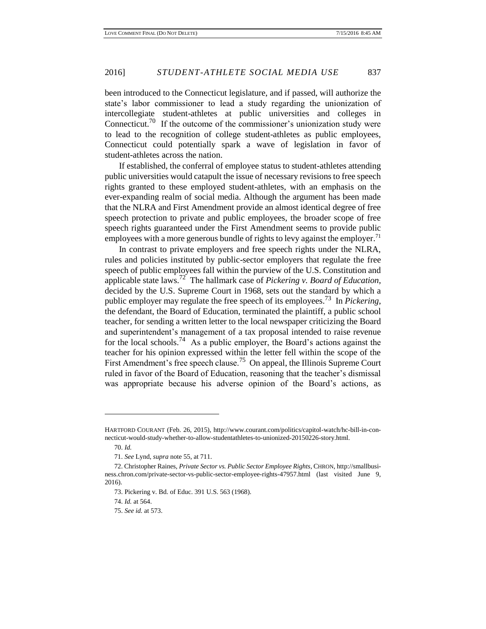been introduced to the Connecticut legislature, and if passed, will authorize the state's labor commissioner to lead a study regarding the unionization of intercollegiate student-athletes at public universities and colleges in Connecticut.<sup>70</sup> If the outcome of the commissioner's unionization study were to lead to the recognition of college student-athletes as public employees, Connecticut could potentially spark a wave of legislation in favor of student-athletes across the nation.

If established, the conferral of employee status to student-athletes attending public universities would catapult the issue of necessary revisions to free speech rights granted to these employed student-athletes, with an emphasis on the ever-expanding realm of social media. Although the argument has been made that the NLRA and First Amendment provide an almost identical degree of free speech protection to private and public employees, the broader scope of free speech rights guaranteed under the First Amendment seems to provide public employees with a more generous bundle of rights to levy against the employer.<sup>71</sup>

In contrast to private employers and free speech rights under the NLRA, rules and policies instituted by public-sector employers that regulate the free speech of public employees fall within the purview of the U.S. Constitution and applicable state laws.<sup>72</sup> The hallmark case of *Pickering v. Board of Education*, decided by the U.S. Supreme Court in 1968, sets out the standard by which a public employer may regulate the free speech of its employees.<sup>73</sup> In *Pickering*, the defendant, the Board of Education, terminated the plaintiff, a public school teacher, for sending a written letter to the local newspaper criticizing the Board and superintendent's management of a tax proposal intended to raise revenue for the local schools.<sup>74</sup> As a public employer, the Board's actions against the teacher for his opinion expressed within the letter fell within the scope of the First Amendment's free speech clause.<sup>75</sup> On appeal, the Illinois Supreme Court ruled in favor of the Board of Education, reasoning that the teacher's dismissal was appropriate because his adverse opinion of the Board's actions, as

HARTFORD COURANT (Feb. 26, 2015), http://www.courant.com/politics/capitol-watch/hc-bill-in-connecticut-would-study-whether-to-allow-studentathletes-to-unionized-20150226-story.html.

<sup>70.</sup> *Id.* 

<sup>71.</sup> *See* Lynd, *supra* note 55, at 711.

<sup>72.</sup> Christopher Raines, *Private Sector vs. Public Sector Employee Rights*, CHRON, http://smallbusiness.chron.com/private-sector-vs-public-sector-employee-rights-47957.html (last visited June 9, 2016).

<sup>73.</sup> Pickering v. Bd. of Educ. 391 U.S. 563 (1968).

<sup>74.</sup> *Id.* at 564.

<sup>75.</sup> *See id.* at 573.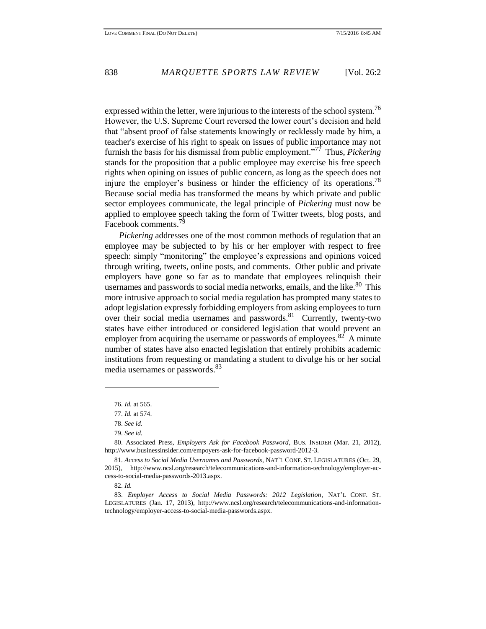expressed within the letter, were injurious to the interests of the school system.<sup>76</sup> However, the U.S. Supreme Court reversed the lower court's decision and held that "absent proof of false statements knowingly or recklessly made by him, a teacher's exercise of his right to speak on issues of public importance may not furnish the basis for his dismissal from public employment."<sup>77</sup> Thus, *Pickering*  stands for the proposition that a public employee may exercise his free speech rights when opining on issues of public concern, as long as the speech does not injure the employer's business or hinder the efficiency of its operations.<sup>78</sup> Because social media has transformed the means by which private and public sector employees communicate, the legal principle of *Pickering* must now be applied to employee speech taking the form of Twitter tweets, blog posts, and Facebook comments.<sup>79</sup>

*Pickering* addresses one of the most common methods of regulation that an employee may be subjected to by his or her employer with respect to free speech: simply "monitoring" the employee's expressions and opinions voiced through writing, tweets, online posts, and comments. Other public and private employers have gone so far as to mandate that employees relinquish their usernames and passwords to social media networks, emails, and the like.<sup>80</sup> This more intrusive approach to social media regulation has prompted many states to adopt legislation expressly forbidding employers from asking employees to turn over their social media usernames and passwords.<sup>81</sup> Currently, twenty-two states have either introduced or considered legislation that would prevent an employer from acquiring the username or passwords of employees.<sup>82</sup> A minute number of states have also enacted legislation that entirely prohibits academic institutions from requesting or mandating a student to divulge his or her social media usernames or passwords.<sup>83</sup>

 $\overline{\phantom{a}}$ 

82. *Id.* 

<sup>76.</sup> *Id.* at 565.

<sup>77.</sup> *Id.* at 574.

<sup>78.</sup> *See id.* 

<sup>79.</sup> *See id.*

<sup>80.</sup> Associated Press, *Employers Ask for Facebook Password*, BUS. INSIDER (Mar. 21, 2012), http://www.businessinsider.com/empoyers-ask-for-facebook-password-2012-3.

<sup>81.</sup> *Access to Social Media Usernames and Passwords*, NAT'L CONF. ST. LEGISLATURES (Oct. 29, 2015), http://www.ncsl.org/research/telecommunications-and-information-technology/employer-access-to-social-media-passwords-2013.aspx.

<sup>83.</sup> *Employer Access to Social Media Passwords: 2012 Legislation*, NAT'L CONF. ST. LEGISLATURES (Jan. 17, 2013), http://www.ncsl.org/research/telecommunications-and-informationtechnology/employer-access-to-social-media-passwords.aspx.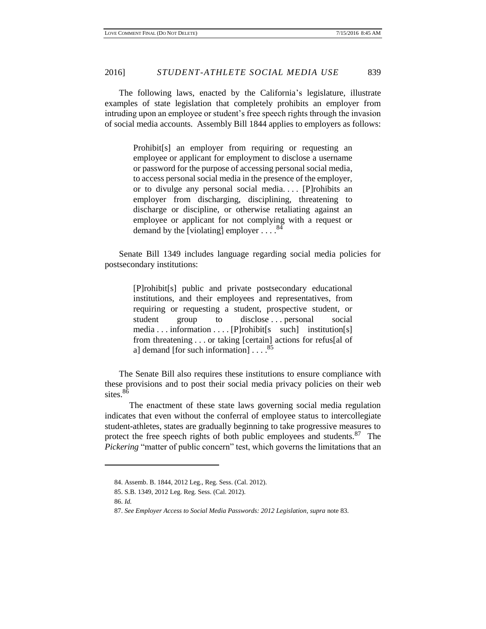The following laws, enacted by the California's legislature, illustrate examples of state legislation that completely prohibits an employer from intruding upon an employee or student's free speech rights through the invasion of social media accounts. Assembly Bill 1844 applies to employers as follows:

> Prohibit[s] an employer from requiring or requesting an employee or applicant for employment to disclose a username or password for the purpose of accessing personal social media, to access personal social media in the presence of the employer, or to divulge any personal social media. . . . [P]rohibits an employer from discharging, disciplining, threatening to discharge or discipline, or otherwise retaliating against an employee or applicant for not complying with a request or demand by the [violating] employer  $\ldots$  .  $84$

Senate Bill 1349 includes language regarding social media policies for postsecondary institutions:

> [P]rohibit[s] public and private postsecondary educational institutions, and their employees and representatives, from requiring or requesting a student, prospective student, or student group to disclose ... personal social media . . . information . . . . [P]rohibit[s such] institution[s] from threatening . . . or taking [certain] actions for refus[al of a] demand [for such information]  $\ldots$ .<sup>85</sup>

The Senate Bill also requires these institutions to ensure compliance with these provisions and to post their social media privacy policies on their web sites.<sup>86</sup>

The enactment of these state laws governing social media regulation indicates that even without the conferral of employee status to intercollegiate student-athletes, states are gradually beginning to take progressive measures to protect the free speech rights of both public employees and students.<sup>87</sup> The *Pickering* "matter of public concern" test, which governs the limitations that an

<sup>84.</sup> Assemb. B. 1844, 2012 Leg., Reg. Sess. (Cal. 2012).

<sup>85.</sup> S.B. 1349, 2012 Leg. Reg. Sess. (Cal. 2012).

<sup>86.</sup> *Id.*

<sup>87.</sup> *See Employer Access to Social Media Passwords: 2012 Legislation*, *supra* note 83.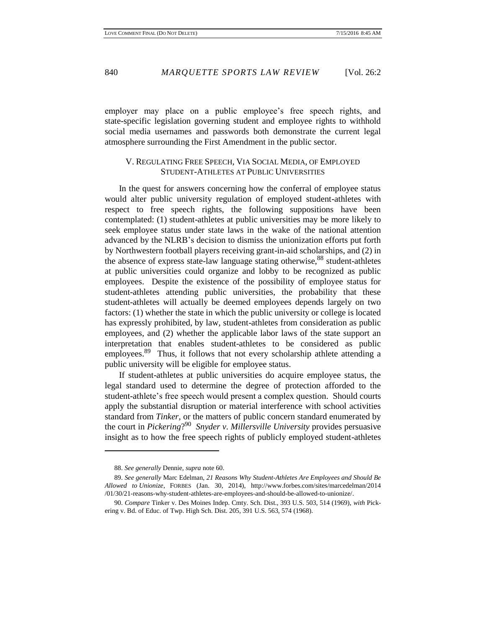employer may place on a public employee's free speech rights, and state-specific legislation governing student and employee rights to withhold social media usernames and passwords both demonstrate the current legal atmosphere surrounding the First Amendment in the public sector.

## V. REGULATING FREE SPEECH, VIA SOCIAL MEDIA, OF EMPLOYED STUDENT-ATHLETES AT PUBLIC UNIVERSITIES

In the quest for answers concerning how the conferral of employee status would alter public university regulation of employed student-athletes with respect to free speech rights, the following suppositions have been contemplated: (1) student-athletes at public universities may be more likely to seek employee status under state laws in the wake of the national attention advanced by the NLRB's decision to dismiss the unionization efforts put forth by Northwestern football players receiving grant-in-aid scholarships, and (2) in the absence of express state-law language stating otherwise,  $88$  student-athletes at public universities could organize and lobby to be recognized as public employees. Despite the existence of the possibility of employee status for student-athletes attending public universities, the probability that these student-athletes will actually be deemed employees depends largely on two factors: (1) whether the state in which the public university or college is located has expressly prohibited, by law, student-athletes from consideration as public employees, and (2) whether the applicable labor laws of the state support an interpretation that enables student-athletes to be considered as public employees.<sup>89</sup> Thus, it follows that not every scholarship athlete attending a public university will be eligible for employee status.

If student-athletes at public universities do acquire employee status, the legal standard used to determine the degree of protection afforded to the student-athlete's free speech would present a complex question. Should courts apply the substantial disruption or material interference with school activities standard from *Tinker*, or the matters of public concern standard enumerated by the court in *Pickering*? 90 *Snyder v. Millersville University* provides persuasive insight as to how the free speech rights of publicly employed student-athletes

<sup>88.</sup> *See generally* Dennie, *supra* note 60.

<sup>89.</sup> *See generally* Marc Edelman, *21 Reasons Why Student-Athletes Are Employees and Should Be Allowed to Unionize*, FORBES (Jan. 30, 2014), http://www.forbes.com/sites/marcedelman/2014 /01/30/21-reasons-why-student-athletes-are-employees-and-should-be-allowed-to-unionize/.

<sup>90.</sup> *Compare* Tinker v. Des Moines Indep. Cmty. Sch. Dist., 393 U.S. 503, 514 (1969), *with* Pickering v. Bd. of Educ. of Twp. High Sch. Dist. 205, 391 U.S. 563, 574 (1968).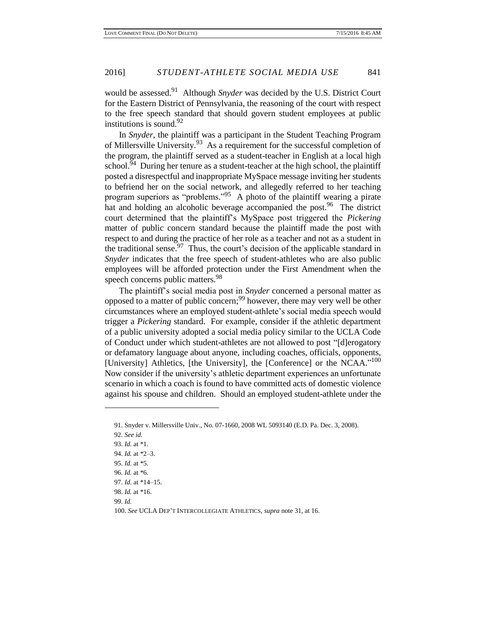would be assessed.<sup>91</sup> Although *Snyder* was decided by the U.S. District Court for the Eastern District of Pennsylvania, the reasoning of the court with respect to the free speech standard that should govern student employees at public institutions is sound.  $92$ 

In *Snyder*, the plaintiff was a participant in the Student Teaching Program of Millersville University.<sup>93</sup> As a requirement for the successful completion of the program, the plaintiff served as a student-teacher in English at a local high school.<sup>94</sup> During her tenure as a student-teacher at the high school, the plaintiff posted a disrespectful and inappropriate MySpace message inviting her students to befriend her on the social network, and allegedly referred to her teaching program superiors as "problems." 95 A photo of the plaintiff wearing a pirate hat and holding an alcoholic beverage accompanied the post.<sup>96</sup> The district court determined that the plaintiff's MySpace post triggered the *Pickering* matter of public concern standard because the plaintiff made the post with respect to and during the practice of her role as a teacher and not as a student in the traditional sense.  $97$  Thus, the court's decision of the applicable standard in *Snyder* indicates that the free speech of student-athletes who are also public employees will be afforded protection under the First Amendment when the speech concerns public matters.<sup>98</sup>

The plaintiff's social media post in *Snyder* concerned a personal matter as opposed to a matter of public concern;<sup>99</sup> however, there may very well be other circumstances where an employed student-athlete's social media speech would trigger a *Pickering* standard. For example, consider if the athletic department of a public university adopted a social media policy similar to the UCLA Code of Conduct under which student-athletes are not allowed to post "[d]erogatory or defamatory language about anyone, including coaches, officials, opponents, [University] Athletics, [the University], the [Conference] or the NCAA."<sup>100</sup> Now consider if the university's athletic department experiences an unfortunate scenario in which a coach is found to have committed acts of domestic violence against his spouse and children. Should an employed student-athlete under the

<sup>91.</sup> Snyder v. Millersville Univ., No. 07-1660, 2008 WL 5093140 (E.D. Pa. Dec. 3, 2008).

<sup>92.</sup> *See id.*

<sup>93.</sup> *Id.* at \*1. 94. *Id.* at \*2–3. 95. *Id.* at \*5. 96. *Id.* at \*6. 97. *Id.* at \*14–15. 98. *Id.* at \*16. 99. *Id.*  100. *See* UCLA DEP'T INTERCOLLEGIATE ATHLETICS, *supra* note 31, at 16.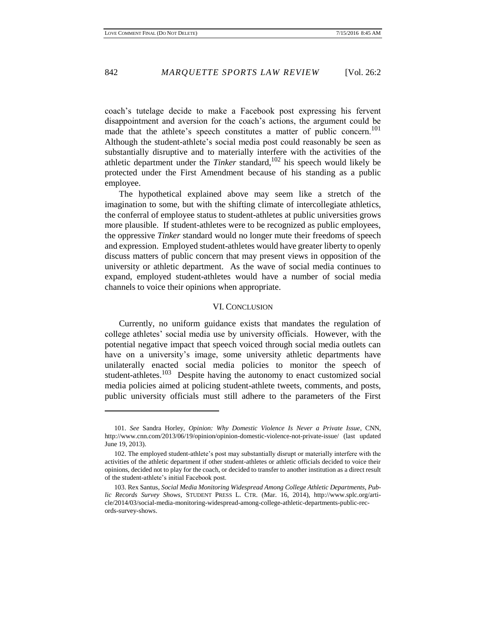coach's tutelage decide to make a Facebook post expressing his fervent disappointment and aversion for the coach's actions, the argument could be made that the athlete's speech constitutes a matter of public concern.<sup>101</sup> Although the student-athlete's social media post could reasonably be seen as substantially disruptive and to materially interfere with the activities of the athletic department under the *Tinker* standard, <sup>102</sup> his speech would likely be protected under the First Amendment because of his standing as a public employee.

The hypothetical explained above may seem like a stretch of the imagination to some, but with the shifting climate of intercollegiate athletics, the conferral of employee status to student-athletes at public universities grows more plausible. If student-athletes were to be recognized as public employees, the oppressive *Tinker* standard would no longer mute their freedoms of speech and expression. Employed student-athletes would have greater liberty to openly discuss matters of public concern that may present views in opposition of the university or athletic department. As the wave of social media continues to expand, employed student-athletes would have a number of social media channels to voice their opinions when appropriate.

### VI. CONCLUSION

Currently, no uniform guidance exists that mandates the regulation of college athletes' social media use by university officials. However, with the potential negative impact that speech voiced through social media outlets can have on a university's image, some university athletic departments have unilaterally enacted social media policies to monitor the speech of student-athletes.<sup>103</sup> Despite having the autonomy to enact customized social media policies aimed at policing student-athlete tweets, comments, and posts, public university officials must still adhere to the parameters of the First

 $\overline{\phantom{a}}$ 

<sup>101.</sup> *See* Sandra Horley, *Opinion: Why Domestic Violence Is Never a Private Issue*, CNN, http://www.cnn.com/2013/06/19/opinion/opinion-domestic-violence-not-private-issue/ (last updated June 19, 2013).

<sup>102.</sup> The employed student-athlete's post may substantially disrupt or materially interfere with the activities of the athletic department if other student-athletes or athletic officials decided to voice their opinions, decided not to play for the coach, or decided to transfer to another institution as a direct result of the student-athlete's initial Facebook post.

<sup>103.</sup> Rex Santus, *Social Media Monitoring Widespread Among College Athletic Departments, Public Records Survey Shows*, STUDENT PRESS L. CTR. (Mar. 16, 2014), http://www.splc.org/article/2014/03/social-media-monitoring-widespread-among-college-athletic-departments-public-records-survey-shows.